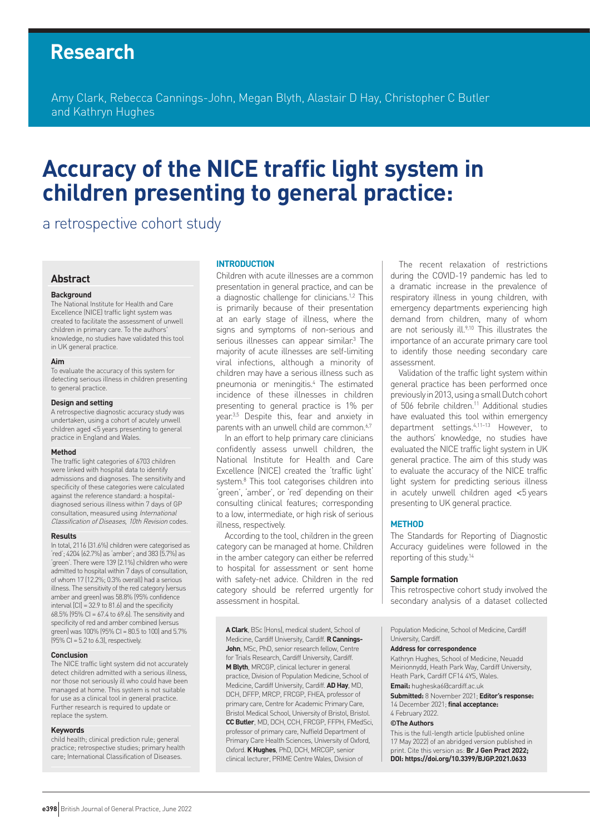## **Research**

Amy Clark, Rebecca Cannings-John, Megan Blyth, Alastair D Hay, Christopher C Butler and Kathryn Hughes

# **Accuracy of the NICE traffic light system in children presenting to general practice:**

a retrospective cohort study

## **Abstract**

#### **Background**

The National Institute for Health and Care Excellence (NICE) traffic light system was created to facilitate the assessment of unwell children in primary care. To the authors' knowledge, no studies have validated this tool in UK general practice.

#### **Aim**

To evaluate the accuracy of this system for detecting serious illness in children presenting to general practice.

#### **Design and setting**

A retrospective diagnostic accuracy study was undertaken, using a cohort of acutely unwell children aged <5 years presenting to general practice in England and Wales.

#### **Method**

The traffic light categories of 6703 children were linked with hospital data to identify admissions and diagnoses. The sensitivity and specificity of these categories were calculated against the reference standard: a hospitaldiagnosed serious illness within 7 days of GP consultation, measured using International Classification of Diseases, 10th Revision codes.

#### **Results**

In total, 2116 (31.6%) children were categorised as 'red'; 4204 (62.7%) as 'amber'; and 383 (5.7%) as 'green'. There were 139 (2.1%) children who were admitted to hospital within 7 days of consultation, of whom 17 (12.2%; 0.3% overall) had a serious illness. The sensitivity of the red category (versus amber and green) was 58.8% (95% confidence interval  $\text{[CI]} = 32.9$  to 81.6) and the specificity 68.5% (95% CI = 67.4 to 69.6). The sensitivity and specificity of red and amber combined (versus green) was 100% (95% CI = 80.5 to 100) and 5.7%  $(95\% \text{ Cl} = 5.2 \text{ to } 6.3)$ , respectively.

#### **Conclusion**

The NICE traffic light system did not accurately detect children admitted with a serious illness, nor those not seriously ill who could have been managed at home. This system is not suitable for use as a clinical tool in general practice. Further research is required to update or replace the system.

#### **Keywords**

child health; clinical prediction rule; general practice; retrospective studies; primary health care; International Classification of Diseases.

#### **INTRODUCTION**

Children with acute illnesses are a common presentation in general practice, and can be a diagnostic challenge for clinicians.<sup>1,2</sup> This is primarily because of their presentation at an early stage of illness, where the signs and symptoms of non-serious and serious illnesses can appear similar.<sup>3</sup> The majority of acute illnesses are self-limiting viral infections, although a minority of children may have a serious illness such as pneumonia or meningitis.4 The estimated incidence of these illnesses in children presenting to general practice is 1% per year.<sup>3,5</sup> Despite this, fear and anxiety in parents with an unwell child are common.<sup>6,7</sup>

In an effort to help primary care clinicians confidently assess unwell children, the National Institute for Health and Care Excellence (NICE) created the 'traffic light' system.8 This tool categorises children into 'green', 'amber', or 'red' depending on their consulting clinical features; corresponding to a low, intermediate, or high risk of serious illness, respectively.

According to the tool, children in the green category can be managed at home. Children in the amber category can either be referred to hospital for assessment or sent home with safety-net advice. Children in the red category should be referred urgently for assessment in hospital.

**A Clark**, BSc (Hons), medical student, School of Medicine, Cardiff University, Cardiff. **R Cannings-John**, MSc, PhD, senior research fellow, Centre for Trials Research, Cardiff University, Cardiff. **M Blyth**, MRCGP, clinical lecturer in general practice, Division of Population Medicine, School of Medicine, Cardiff University, Cardiff. **AD Hay**, MD, DCH, DFFP, MRCP, FRCGP, FHEA, professor of primary care, Centre for Academic Primary Care, Bristol Medical School, University of Bristol, Bristol. **CC Butler**, MD, DCH, CCH, FRCGP, FFPH, FMedSci, professor of primary care, Nuffield Department of Primary Care Health Sciences, University of Oxford, Oxford. **KHughes**, PhD, DCH, MRCGP, senior clinical lecturer, PRIME Centre Wales, Division of

The recent relaxation of restrictions during the COVID-19 pandemic has led to a dramatic increase in the prevalence of respiratory illness in young children, with emergency departments experiencing high demand from children, many of whom are not seriously ill.<sup>9,10</sup> This illustrates the importance of an accurate primary care tool to identify those needing secondary care assessment.

Validation of the traffic light system within general practice has been performed once previously in 2013, using a small Dutch cohort of 506 febrile children.<sup>11</sup> Additional studies have evaluated this tool within emergency department settings.4,11–13 However, to the authors' knowledge, no studies have evaluated the NICE traffic light system in UK general practice. The aim of this study was to evaluate the accuracy of the NICE traffic light system for predicting serious illness in acutely unwell children aged <5 years presenting to UK general practice.

### **METHOD**

The Standards for Reporting of Diagnostic Accuracy guidelines were followed in the reporting of this study.14

#### **Sample formation**

This retrospective cohort study involved the secondary analysis of a dataset collected

Population Medicine, School of Medicine, Cardiff University, Cardiff.

#### **Address for correspondence**

Kathryn Hughes, School of Medicine, Neuadd Meirionnydd, Heath Park Way, Cardiff University, Heath Park, Cardiff CF14 4YS, Wales.

**Email:** [hugheska6@cardiff.ac.uk](mailto:hugheska6@cardiff.ac.uk)

**Submitted:** 8 November 2021; **Editor's response:** 14 December 2021; **final acceptance:**  4 February 2022.

## **©The Authors**

This is the full-length article (published online 17 May 2022) of an abridged version published in print. Cite this version as: **Br J Gen Pract 2022; DOI: <https://doi.org/10.3399/BJGP.2021.0633>**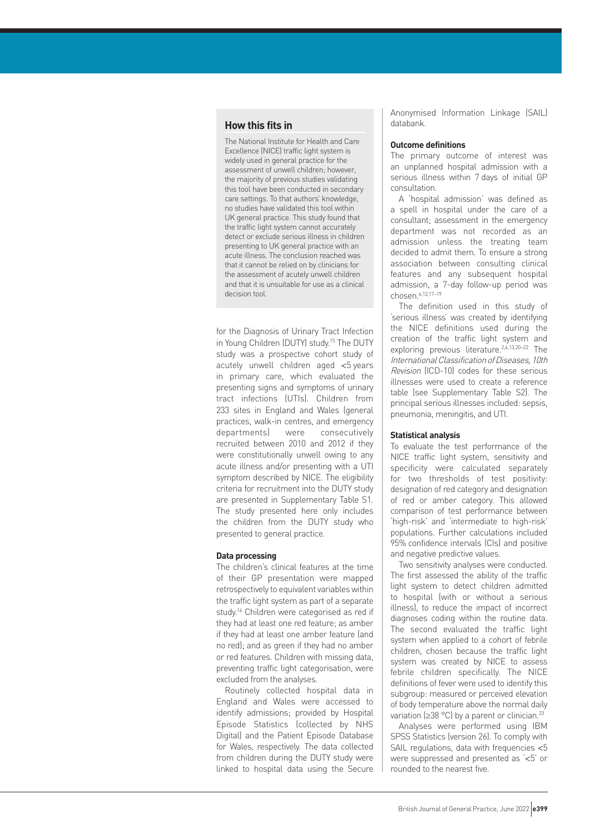## **How this fits in**

The National Institute for Health and Care Excellence (NICE) traffic light system is widely used in general practice for the assessment of unwell children; however, the majority of previous studies validating this tool have been conducted in secondary care settings. To that authors' knowledge, no studies have validated this tool within UK general practice. This study found that the traffic light system cannot accurately detect or exclude serious illness in children presenting to UK general practice with an acute illness. The conclusion reached was that it cannot be relied on by clinicians for the assessment of acutely unwell children and that it is unsuitable for use as a clinical decision tool.

for the Diagnosis of Urinary Tract Infection in Young Children (DUTY) study.15 The DUTY study was a prospective cohort study of acutely unwell children aged <5 years in primary care, which evaluated the presenting signs and symptoms of urinary tract infections (UTIs). Children from 233 sites in England and Wales (general practices, walk-in centres, and emergency departments) were consecutively recruited between 2010 and 2012 if they were constitutionally unwell owing to any acute illness and/or presenting with a UTI symptom described by NICE. The eligibility criteria for recruitment into the DUTY study are presented in Supplementary Table S1. The study presented here only includes the children from the DUTY study who presented to general practice.

## **Data processing**

The children's clinical features at the time of their GP presentation were mapped retrospectively to equivalent variables within the traffic light system as part of a separate study.<sup>16</sup> Children were categorised as red if they had at least one red feature; as amber if they had at least one amber feature (and no red); and as green if they had no amber or red features. Children with missing data, preventing traffic light categorisation, were excluded from the analyses.

Routinely collected hospital data in England and Wales were accessed to identify admissions; provided by Hospital Episode Statistics (collected by NHS Digital) and the Patient Episode Database for Wales, respectively. The data collected from children during the DUTY study were linked to hospital data using the Secure Anonymised Information Linkage (SAIL) databank.

#### **Outcome definitions**

The primary outcome of interest was an unplanned hospital admission with a serious illness within 7 days of initial GP consultation.

A 'hospital admission' was defined as a spell in hospital under the care of a consultant; assessment in the emergency department was not recorded as an admission unless the treating team decided to admit them. To ensure a strong association between consulting clinical features and any subsequent hospital admission, a 7-day follow-up period was chosen.4,12,17–19

The definition used in this study of 'serious illness' was created by identifying the NICE definitions used during the creation of the traffic light system and exploring previous literature.2,4,13,20–22 The International Classification of Diseases, 10th Revision (ICD-10) codes for these serious illnesses were used to create a reference table (see Supplementary Table S2). The principal serious illnesses included: sepsis, pneumonia, meningitis, and UTI.

#### **Statistical analysis**

To evaluate the test performance of the NICE traffic light system, sensitivity and specificity were calculated separately for two thresholds of test positivity: designation of red category and designation of red or amber category. This allowed comparison of test performance between 'high-risk' and 'intermediate to high-risk' populations. Further calculations included 95% confidence intervals (CIs) and positive and negative predictive values.

Two sensitivity analyses were conducted. The first assessed the ability of the traffic light system to detect children admitted to hospital (with or without a serious illness), to reduce the impact of incorrect diagnoses coding within the routine data. The second evaluated the traffic light system when applied to a cohort of febrile children, chosen because the traffic light system was created by NICE to assess febrile children specifically. The NICE definitions of fever were used to identify this subgroup: measured or perceived elevation of body temperature above the normal daily variation (≥38 °C) by a parent or clinician.<sup>23</sup>

Analyses were performed using IBM SPSS Statistics (version 26). To comply with SAIL regulations, data with frequencies <5 were suppressed and presented as '<5' or rounded to the nearest five.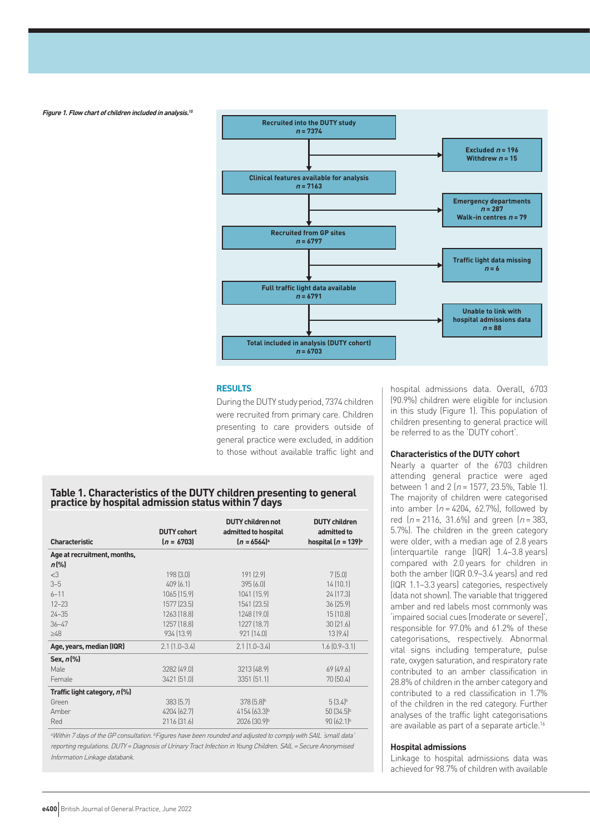**Figure 1. Flow chart of children included in analysis.<sup>15</sup>**



## **RESULTS**

During the DUTY study period, 7374 children were recruited from primary care. Children presenting to care providers outside of general practice were excluded, in addition to those without available traffic light and

## **Table 1. Characteristics of the DUTY children presenting to general practice by hospital admission status within 7 days**

| <b>Characteristic</b>        | <b>DUTY cohort</b><br>$[n = 6703]$ | <b>DUTY children not</b><br>admitted to hospital<br>$[n = 6564]$ <sup>a</sup> | <b>DUTY</b> children<br>admitted to<br>hospital $(n = 139)^a$ |
|------------------------------|------------------------------------|-------------------------------------------------------------------------------|---------------------------------------------------------------|
| Age at recruitment, months,  |                                    |                                                                               |                                                               |
| $n\left[\%\right]$           |                                    |                                                                               |                                                               |
| <3                           | 198 [3.0]                          | 191 (2.9)                                                                     | 7(5.0)                                                        |
| $3 - 5$                      | 409(6.1)                           | 395(6.0)                                                                      | 14(10.1)                                                      |
| $6 - 11$                     | 1065 (15.9)                        | 1041 (15.9)                                                                   | 24 (17.3)                                                     |
| $12 - 23$                    | 1577 (23.5)                        | 1541 (23.5)                                                                   | 36(25.9)                                                      |
| $24 - 35$                    | 1263 [18.8]                        | 1248 (19.0)                                                                   | 15(10.8)                                                      |
| $36 - 47$                    | 1257 (18.8)                        | 1227 (18.7)                                                                   | 30(21.6)                                                      |
| $\geq48$                     | 934 [13.9]                         | 921 (14.0)                                                                    | 13(9.4)                                                       |
| Age, years, median (IQR)     | $2.1$ $(1.0-3.4)$                  | $2.1$ $(1.0-3.4)$                                                             | $1.6$ $[0.9 - 3.1]$                                           |
| Sex, $n$ $%$                 |                                    |                                                                               |                                                               |
| Male                         | 3282 [49.0]                        | 3213 (48.9)                                                                   | 69[49.6]                                                      |
| Female                       | 3421 (51.0)                        | 3351(51.1)                                                                    | 70 (50.4)                                                     |
| Traffic light category, n(%) |                                    |                                                                               |                                                               |
| Green                        | 383 [5.7]                          | 378 (5.8) <sup>b</sup>                                                        | 5(3.4)                                                        |
| Amber                        | 4204 (62.7)                        | $4154(63.3)^{b}$                                                              | $50(34.5)^{b}$                                                |
| Red                          | 2116 [31.6]                        | 2026 [30.9]b                                                                  | 90 (62.1) <sup>b</sup>                                        |

aWithin 7 days of the GP consultation. **bFigures have been rounded and adjusted to comply with SAIL** 'small data' reporting regulations. DUTY = Diagnosis of Urinary Tract Infection in Young Children. SAIL = Secure Anonymised Information Linkage databank.

hospital admissions data. Overall, 6703 (90.9%) children were eligible for inclusion in this study (Figure 1). This population of children presenting to general practice will be referred to as the 'DUTY cohort'.

## **Characteristics of the DUTY cohort**

Nearly a quarter of the 6703 children attending general practice were aged between 1 and 2 ( $n = 1577$ , 23.5%, Table 1). The majority of children were categorised into amber  $(n = 4204, 62.7\%)$ , followed by red  $(n = 2116, 31.6\%)$  and green  $(n = 383, ...)$ 5.7%). The children in the green category were older, with a median age of 2.8 years (interquartile range [IQR] 1.4–3.8 years) compared with 2.0 years for children in both the amber (IQR 0.9–3.4 years) and red (IQR 1.1–3.3 years) categories, respectively (data not shown). The variable that triggered amber and red labels most commonly was 'impaired social cues (moderate or severe)', responsible for 97.0% and 61.2% of these categorisations, respectively. Abnormal vital signs including temperature, pulse rate, oxygen saturation, and respiratory rate contributed to an amber classification in 28.8% of children in the amber category and contributed to a red classification in 1.7% of the children in the red category. Further analyses of the traffic light categorisations are available as part of a separate article.<sup>16</sup>

## **Hospital admissions**

Linkage to hospital admissions data was achieved for 98.7% of children with available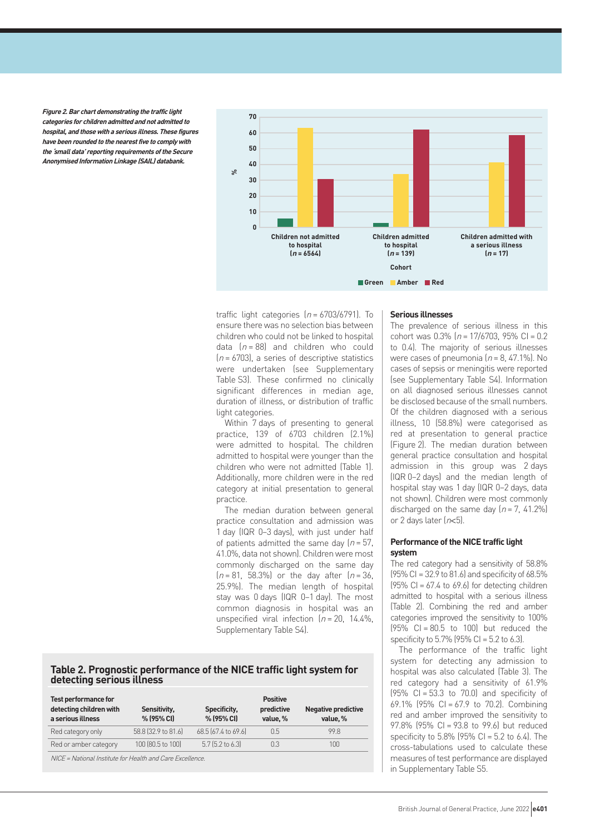**Figure 2. Bar chart demonstrating the traffic light categories for children admitted and not admitted to hospital, and those with a serious illness. These figures have been rounded to the nearest five to comply with the 'small data' reporting requirements of the Secure Anonymised Information Linkage (SAIL) databank.**



traffic light categories  $(n = 6703/6791)$ . To ensure there was no selection bias between children who could not be linked to hospital data  $(n = 88)$  and children who could  $(n = 6703)$ , a series of descriptive statistics were undertaken (see Supplementary Table S3). These confirmed no clinically significant differences in median age, duration of illness, or distribution of traffic light categories.

Within 7 days of presenting to general practice, 139 of 6703 children (2.1%) were admitted to hospital. The children admitted to hospital were younger than the children who were not admitted (Table 1). Additionally, more children were in the red category at initial presentation to general practice.

The median duration between general practice consultation and admission was 1 day (IQR 0–3 days), with just under half of patients admitted the same day  $(n = 57)$ . 41.0%, data not shown). Children were most commonly discharged on the same day  $(n = 81, 58.3\%)$  or the day after  $(n = 36, 58.3\%)$ 25.9%). The median length of hospital stay was 0 days (IQR 0–1 day). The most common diagnosis in hospital was an unspecified viral infection  $(n = 20, 14.4\%)$ . Supplementary Table S4).

## **Table 2. Prognostic performance of the NICE traffic light system for detecting serious illness**

| <b>Test performance for</b><br>detecting children with<br>a serious illness | Sensitivity,<br>% (95% CI) | Specificity,<br>% (95% CI) | <b>Positive</b><br>predictive<br>value, % | <b>Negative predictive</b><br>value, % |
|-----------------------------------------------------------------------------|----------------------------|----------------------------|-------------------------------------------|----------------------------------------|
| Red category only                                                           | 58.8 (32.9 to 81.6)        | 68.5 (67.4 to 69.6)        | 0.5                                       | 99 R                                   |
| Red or amber category                                                       | 100 (80.5 to 100)          | $5.7$ (5.2 to 6.3)         | 0.3                                       | 100                                    |
| NICE = National Institute for Health and Care Excellence.                   |                            |                            |                                           |                                        |

#### **Serious illnesses**

The prevalence of serious illness in this cohort was  $0.3\%$  ( $n = 17/6703$ ,  $95\%$  CI = 0.2 to 0.4). The majority of serious illnesses were cases of pneumonia  $(n = 8, 47.1\%)$ . No cases of sepsis or meningitis were reported (see Supplementary Table S4). Information on all diagnosed serious illnesses cannot be disclosed because of the small numbers. Of the children diagnosed with a serious illness, 10 (58.8%) were categorised as red at presentation to general practice (Figure 2). The median duration between general practice consultation and hospital admission in this group was 2 days (IQR 0–2 days) and the median length of hospital stay was 1 day (IQR 0–2 days, data not shown). Children were most commonly discharged on the same day  $[n = 7, 41.2\%]$ or 2 days later  $(n<5)$ .

### **Performance of the NICE traffic light system**

The red category had a sensitivity of 58.8% (95% CI = 32.9 to 81.6) and specificity of 68.5%  $(95\% \text{ Cl} = 67.4 \text{ to } 69.6)$  for detecting children admitted to hospital with a serious illness (Table 2). Combining the red and amber categories improved the sensitivity to 100%  $(95\% \text{ Cl} = 80.5 \text{ to } 100)$  but reduced the specificity to  $5.7\%$  (95% CI =  $5.2$  to  $6.3$ ).

The performance of the traffic light system for detecting any admission to hospital was also calculated (Table 3). The red category had a sensitivity of 61.9%  $(95\% \text{ Cl} = 53.3 \text{ to } 70.0)$  and specificity of 69.1% (95% CI = 67.9 to 70.2). Combining red and amber improved the sensitivity to 97.8% (95% CI = 93.8 to 99.6) but reduced specificity to  $5.8\%$  (95% CI =  $5.2$  to 6.4). The cross-tabulations used to calculate these measures of test performance are displayed in Supplementary Table S5.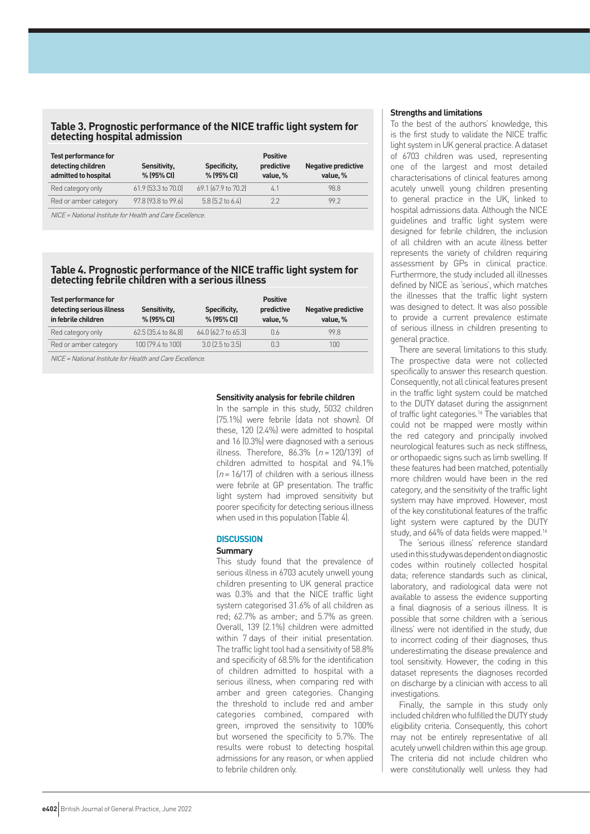## **Table 3. Prognostic performance of the NICE traffic light system for detecting hospital admission**

| <b>Test performance for</b><br>detecting children<br>admitted to hospital | Sensitivity,<br>% (95% CI) | Specificity,<br>% (95% CI) | <b>Positive</b><br>predictive<br>value, % | <b>Negative predictive</b><br>value, % |
|---------------------------------------------------------------------------|----------------------------|----------------------------|-------------------------------------------|----------------------------------------|
| Red category only                                                         | 61.9 (53.3 to 70.0)        | 69.1 (67.9 to 70.2)        | 4.1                                       | 98.8                                   |
| Red or amber category                                                     | 97.8 (93.8 to 99.6)        | 5.8 (5.2 to 6.4)           | 22                                        | 992                                    |

NICE = National Institute for Health and Care Excellence.

## **Table 4. Prognostic performance of the NICE traffic light system for detecting febrile children with a serious illness**

| <b>Test performance for</b><br>detecting serious illness | Sensitivity,        | Specificity,        | <b>Positive</b><br>predictive | <b>Negative predictive</b> |
|----------------------------------------------------------|---------------------|---------------------|-------------------------------|----------------------------|
| in febrile children                                      | % (95% CI)          | % (95% CI)          | value, %                      | value, %                   |
| Red category only                                        | 62.5 (35.4 to 84.8) | 64.0 (62.7 to 65.3) | 0.6                           | 99 R                       |
| Red or amber category                                    | 100 (79.4 to 100)   | $3.0$ (2.5 to 3.5)  | 0.3                           | 100                        |
|                                                          |                     |                     |                               |                            |

NICE = National Institute for Health and Care Excellence.

### **Sensitivity analysis for febrile children**

In the sample in this study, 5032 children (75.1%) were febrile (data not shown). Of these, 120 (2.4%) were admitted to hospital and 16 (0.3%) were diagnosed with a serious illness. Therefore,  $86.3\%$   $(n = 120/139)$  of children admitted to hospital and 94.1%  $(n = 16/17)$  of children with a serious illness were febrile at GP presentation. The traffic light system had improved sensitivity but poorer specificity for detecting serious illness when used in this population (Table 4).

#### **DISCUSSION**

#### **Summary**

This study found that the prevalence of serious illness in 6703 acutely unwell young children presenting to UK general practice was 0.3% and that the NICE traffic light system categorised 31.6% of all children as red; 62.7% as amber; and 5.7% as green. Overall, 139 (2.1%) children were admitted within 7 days of their initial presentation. The traffic light tool had a sensitivity of 58.8% and specificity of 68.5% for the identification of children admitted to hospital with a serious illness, when comparing red with amber and green categories. Changing the threshold to include red and amber categories combined, compared with green, improved the sensitivity to 100% but worsened the specificity to 5.7%. The results were robust to detecting hospital admissions for any reason, or when applied to febrile children only.

#### **Strengths and limitations**

To the best of the authors' knowledge, this is the first study to validate the NICE traffic light system in UK general practice. A dataset of 6703 children was used, representing one of the largest and most detailed characterisations of clinical features among acutely unwell young children presenting to general practice in the UK, linked to hospital admissions data. Although the NICE guidelines and traffic light system were designed for febrile children, the inclusion of all children with an acute illness better represents the variety of children requiring assessment by GPs in clinical practice. Furthermore, the study included all illnesses defined by NICE as 'serious', which matches the illnesses that the traffic light system was designed to detect. It was also possible to provide a current prevalence estimate of serious illness in children presenting to general practice.

There are several limitations to this study. The prospective data were not collected specifically to answer this research question. Consequently, not all clinical features present in the traffic light system could be matched to the DUTY dataset during the assignment of traffic light categories.<sup>16</sup> The variables that could not be mapped were mostly within the red category and principally involved neurological features such as neck stiffness, or orthopaedic signs such as limb swelling. If these features had been matched, potentially more children would have been in the red category, and the sensitivity of the traffic light system may have improved. However, most of the key constitutional features of the traffic light system were captured by the DUTY study, and 64% of data fields were mapped.16

The 'serious illness' reference standard used in this study was dependent on diagnostic codes within routinely collected hospital data; reference standards such as clinical, laboratory, and radiological data were not available to assess the evidence supporting a final diagnosis of a serious illness. It is possible that some children with a 'serious illness' were not identified in the study, due to incorrect coding of their diagnoses, thus underestimating the disease prevalence and tool sensitivity. However, the coding in this dataset represents the diagnoses recorded on discharge by a clinician with access to all investigations.

Finally, the sample in this study only included children who fulfilled the DUTY study eligibility criteria. Consequently, this cohort may not be entirely representative of all acutely unwell children within this age group. The criteria did not include children who were constitutionally well unless they had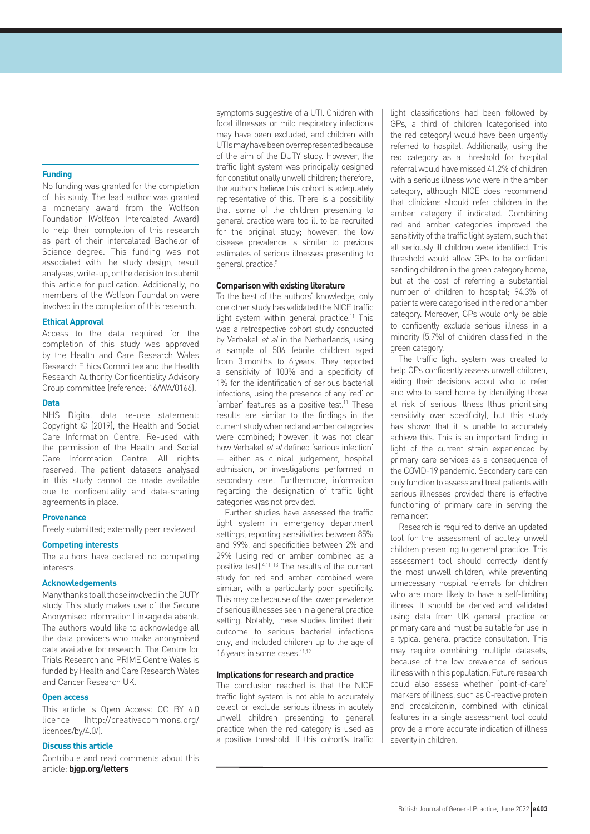## **Funding**

No funding was granted for the completion of this study. The lead author was granted a monetary award from the Wolfson Foundation (Wolfson Intercalated Award) to help their completion of this research as part of their intercalated Bachelor of Science degree. This funding was not associated with the study design, result analyses, write-up, or the decision to submit this article for publication. Additionally, no members of the Wolfson Foundation were involved in the completion of this research.

### **Ethical Approval**

Access to the data required for the completion of this study was approved by the Health and Care Research Wales Research Ethics Committee and the Health Research Authority Confidentiality Advisory Group committee (reference: 16/WA/0166).

## **Data**

NHS Digital data re-use statement: Copyright © (2019), the Health and Social Care Information Centre. Re-used with the permission of the Health and Social Care Information Centre. All rights reserved. The patient datasets analysed in this study cannot be made available due to confidentiality and data-sharing agreements in place.

## **Provenance**

Freely submitted; externally peer reviewed.

#### **Competing interests**

The authors have declared no competing interests.

### **Acknowledgements**

Many thanks to all those involved in the DUTY study. This study makes use of the Secure Anonymised Information Linkage databank. The authors would like to acknowledge all the data providers who make anonymised data available for research. The Centre for Trials Research and PRIME Centre Wales is funded by Health and Care Research Wales and Cancer Research UK.

### **Open access**

This article is Open Access: CC BY 4.0 licence ([http://creativecommons.org/](http://creativecommons.org/licences/by/4.0/) [licences/by/4.0/](http://creativecommons.org/licences/by/4.0/)).

## **Discuss this article**

Contribute and read comments about this article: **[bjgp.org/letters](http://bjgp.org/letters)**

symptoms suggestive of a UTI. Children with focal illnesses or mild respiratory infections may have been excluded, and children with UTIs may have been overrepresented because of the aim of the DUTY study. However, the traffic light system was principally designed for constitutionally unwell children; therefore, the authors believe this cohort is adequately representative of this. There is a possibility that some of the children presenting to general practice were too ill to be recruited for the original study; however, the low disease prevalence is similar to previous estimates of serious illnesses presenting to general practice.5

#### **Comparison with existing literature**

To the best of the authors' knowledge, only one other study has validated the NICE traffic light system within general practice.<sup>11</sup> This was a retrospective cohort study conducted by Verbakel et al in the Netherlands, using a sample of 506 febrile children aged from 3 months to 6 years. They reported a sensitivity of 100% and a specificity of 1% for the identification of serious bacterial infections, using the presence of any 'red' or 'amber' features as a positive test.<sup>11</sup> These results are similar to the findings in the current study when red and amber categories were combined; however, it was not clear how Verbakel et al defined 'serious infection' — either as clinical judgement, hospital admission, or investigations performed in secondary care. Furthermore, information regarding the designation of traffic light categories was not provided.

Further studies have assessed the traffic light system in emergency department settings, reporting sensitivities between 85% and 99%, and specificities between 2% and 29% (using red or amber combined as a positive test).4,11–13 The results of the current study for red and amber combined were similar, with a particularly poor specificity. This may be because of the lower prevalence of serious illnesses seen in a general practice setting. Notably, these studies limited their outcome to serious bacterial infections only, and included children up to the age of 16 years in some cases.<sup>11,12</sup>

#### **Implications for research and practice**

The conclusion reached is that the NICE traffic light system is not able to accurately detect or exclude serious illness in acutely unwell children presenting to general practice when the red category is used as a positive threshold. If this cohort's traffic

light classifications had been followed by GPs, a third of children (categorised into the red category) would have been urgently referred to hospital. Additionally, using the red category as a threshold for hospital referral would have missed 41.2% of children with a serious illness who were in the amber category, although NICE does recommend that clinicians should refer children in the amber category if indicated. Combining red and amber categories improved the sensitivity of the traffic light system, such that all seriously ill children were identified. This threshold would allow GPs to be confident sending children in the green category home, but at the cost of referring a substantial number of children to hospital; 94.3% of patients were categorised in the red or amber category. Moreover, GPs would only be able to confidently exclude serious illness in a minority (5.7%) of children classified in the green category.

The traffic light system was created to help GPs confidently assess unwell children, aiding their decisions about who to refer and who to send home by identifying those at risk of serious illness (thus prioritising sensitivity over specificity), but this study has shown that it is unable to accurately achieve this. This is an important finding in light of the current strain experienced by primary care services as a consequence of the COVID-19 pandemic. Secondary care can only function to assess and treat patients with serious illnesses provided there is effective functioning of primary care in serving the remainder.

Research is required to derive an updated tool for the assessment of acutely unwell children presenting to general practice. This assessment tool should correctly identify the most unwell children, while preventing unnecessary hospital referrals for children who are more likely to have a self-limiting illness. It should be derived and validated using data from UK general practice or primary care and must be suitable for use in a typical general practice consultation. This may require combining multiple datasets, because of the low prevalence of serious illness within this population. Future research could also assess whether 'point-of-care' markers of illness, such as C-reactive protein and procalcitonin, combined with clinical features in a single assessment tool could provide a more accurate indication of illness severity in children.